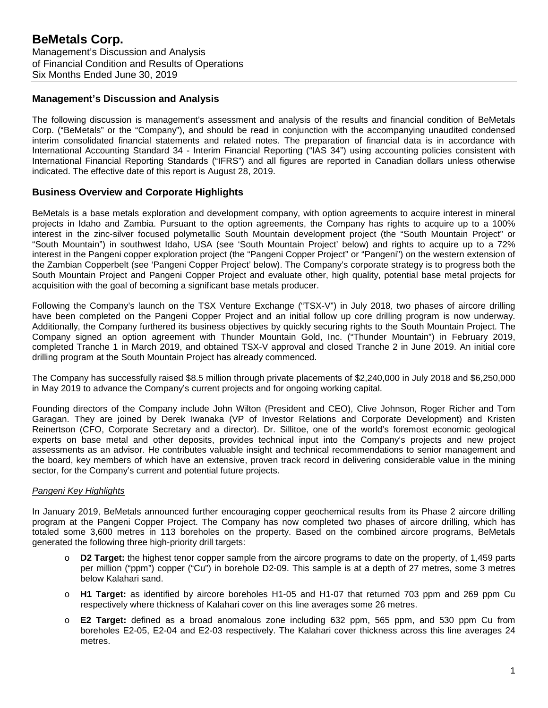## **Management's Discussion and Analysis**

The following discussion is management's assessment and analysis of the results and financial condition of BeMetals Corp. ("BeMetals" or the "Company"), and should be read in conjunction with the accompanying unaudited condensed interim consolidated financial statements and related notes. The preparation of financial data is in accordance with International Accounting Standard 34 - Interim Financial Reporting ("IAS 34") using accounting policies consistent with International Financial Reporting Standards ("IFRS") and all figures are reported in Canadian dollars unless otherwise indicated. The effective date of this report is August 28, 2019.

# **Business Overview and Corporate Highlights**

BeMetals is a base metals exploration and development company, with option agreements to acquire interest in mineral projects in Idaho and Zambia. Pursuant to the option agreements, the Company has rights to acquire up to a 100% interest in the zinc-silver focused polymetallic South Mountain development project (the "South Mountain Project" or "South Mountain") in southwest Idaho, USA (see 'South Mountain Project' below) and rights to acquire up to a 72% interest in the Pangeni copper exploration project (the "Pangeni Copper Project" or "Pangeni") on the western extension of the Zambian Copperbelt (see 'Pangeni Copper Project' below). The Company's corporate strategy is to progress both the South Mountain Project and Pangeni Copper Project and evaluate other, high quality, potential base metal projects for acquisition with the goal of becoming a significant base metals producer.

Following the Company's launch on the TSX Venture Exchange ("TSX-V") in July 2018, two phases of aircore drilling have been completed on the Pangeni Copper Project and an initial follow up core drilling program is now underway. Additionally, the Company furthered its business objectives by quickly securing rights to the South Mountain Project. The Company signed an option agreement with Thunder Mountain Gold, Inc. ("Thunder Mountain") in February 2019, completed Tranche 1 in March 2019, and obtained TSX-V approval and closed Tranche 2 in June 2019. An initial core drilling program at the South Mountain Project has already commenced.

The Company has successfully raised \$8.5 million through private placements of \$2,240,000 in July 2018 and \$6,250,000 in May 2019 to advance the Company's current projects and for ongoing working capital.

Founding directors of the Company include John Wilton (President and CEO), Clive Johnson, Roger Richer and Tom Garagan. They are joined by Derek Iwanaka (VP of Investor Relations and Corporate Development) and Kristen Reinertson (CFO, Corporate Secretary and a director). Dr. Sillitoe, one of the world's foremost economic geological experts on base metal and other deposits, provides technical input into the Company's projects and new project assessments as an advisor. He contributes valuable insight and technical recommendations to senior management and the board, key members of which have an extensive, proven track record in delivering considerable value in the mining sector, for the Company's current and potential future projects.

#### *Pangeni Key Highlights*

In January 2019, BeMetals announced further encouraging copper geochemical results from its Phase 2 aircore drilling program at the Pangeni Copper Project. The Company has now completed two phases of aircore drilling, which has totaled some 3,600 metres in 113 boreholes on the property. Based on the combined aircore programs, BeMetals generated the following three high-priority drill targets:

- o **D2 Target:** the highest tenor copper sample from the aircore programs to date on the property, of 1,459 parts per million ("ppm") copper ("Cu") in borehole D2-09. This sample is at a depth of 27 metres, some 3 metres below Kalahari sand.
- o **H1 Target:** as identified by aircore boreholes H1-05 and H1-07 that returned 703 ppm and 269 ppm Cu respectively where thickness of Kalahari cover on this line averages some 26 metres.
- o **E2 Target:** defined as a broad anomalous zone including 632 ppm, 565 ppm, and 530 ppm Cu from boreholes E2-05, E2-04 and E2-03 respectively. The Kalahari cover thickness across this line averages 24 metres.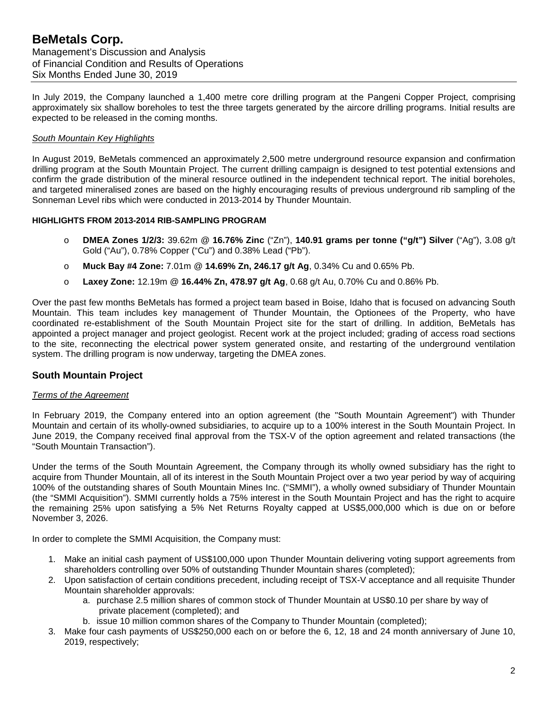# **BeMetals Corp.** Management's Discussion and Analysis of Financial Condition and Results of Operations Six Months Ended June 30, 2019

In July 2019, the Company launched a 1,400 metre core drilling program at the Pangeni Copper Project, comprising approximately six shallow boreholes to test the three targets generated by the aircore drilling programs. Initial results are expected to be released in the coming months.

### *South Mountain Key Highlights*

In August 2019, BeMetals commenced an approximately 2,500 metre underground resource expansion and confirmation drilling program at the South Mountain Project. The current drilling campaign is designed to test potential extensions and confirm the grade distribution of the mineral resource outlined in the independent technical report. The initial boreholes, and targeted mineralised zones are based on the highly encouraging results of previous underground rib sampling of the Sonneman Level ribs which were conducted in 2013-2014 by Thunder Mountain.

### **HIGHLIGHTS FROM 2013-2014 RIB-SAMPLING PROGRAM**

- o **DMEA Zones 1/2/3:** 39.62m @ **16.76% Zinc** ("Zn"), **140.91 grams per tonne ("g/t") Silver** ("Ag"), 3.08 g/t Gold ("Au"), 0.78% Copper ("Cu") and 0.38% Lead ("Pb").
- o **Muck Bay #4 Zone:** 7.01m @ **14.69% Zn, 246.17 g/t Ag**, 0.34% Cu and 0.65% Pb.
- o **Laxey Zone:** 12.19m @ **16.44% Zn, 478.97 g/t Ag**, 0.68 g/t Au, 0.70% Cu and 0.86% Pb.

Over the past few months BeMetals has formed a project team based in Boise, Idaho that is focused on advancing South Mountain. This team includes key management of Thunder Mountain, the Optionees of the Property, who have coordinated re-establishment of the South Mountain Project site for the start of drilling. In addition, BeMetals has appointed a project manager and project geologist. Recent work at the project included; grading of access road sections to the site, reconnecting the electrical power system generated onsite, and restarting of the underground ventilation system. The drilling program is now underway, targeting the DMEA zones.

## **South Mountain Project**

#### *Terms of the Agreement*

In February 2019, the Company entered into an option agreement (the "South Mountain Agreement") with Thunder Mountain and certain of its wholly-owned subsidiaries, to acquire up to a 100% interest in the South Mountain Project. In June 2019, the Company received final approval from the TSX-V of the option agreement and related transactions (the "South Mountain Transaction").

Under the terms of the South Mountain Agreement, the Company through its wholly owned subsidiary has the right to acquire from Thunder Mountain, all of its interest in the South Mountain Project over a two year period by way of acquiring 100% of the outstanding shares of South Mountain Mines Inc. ("SMMI"), a wholly owned subsidiary of Thunder Mountain (the "SMMI Acquisition"). SMMI currently holds a 75% interest in the South Mountain Project and has the right to acquire the remaining 25% upon satisfying a 5% Net Returns Royalty capped at US\$5,000,000 which is due on or before November 3, 2026.

In order to complete the SMMI Acquisition, the Company must:

- 1. Make an initial cash payment of US\$100,000 upon Thunder Mountain delivering voting support agreements from shareholders controlling over 50% of outstanding Thunder Mountain shares (completed);
- 2. Upon satisfaction of certain conditions precedent, including receipt of TSX-V acceptance and all requisite Thunder Mountain shareholder approvals:
	- a. purchase 2.5 million shares of common stock of Thunder Mountain at US\$0.10 per share by way of private placement (completed); and
	- b. issue 10 million common shares of the Company to Thunder Mountain (completed);
- 3. Make four cash payments of US\$250,000 each on or before the 6, 12, 18 and 24 month anniversary of June 10, 2019, respectively;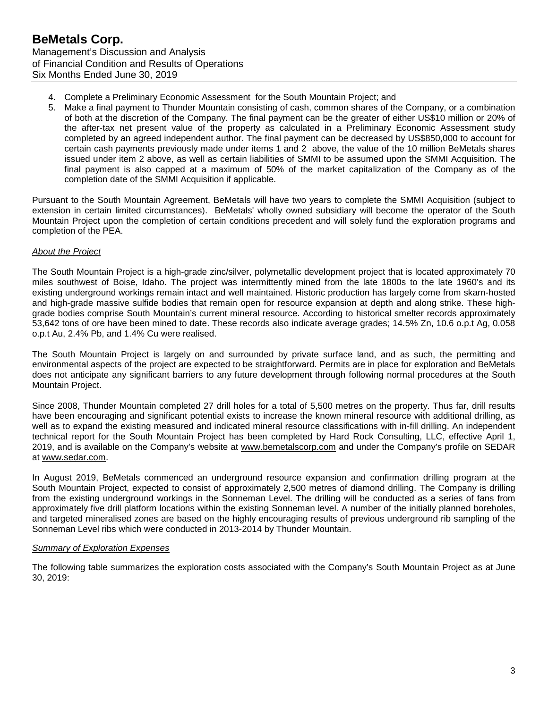- 4. Complete a Preliminary Economic Assessment for the South Mountain Project; and
- 5. Make a final payment to Thunder Mountain consisting of cash, common shares of the Company, or a combination of both at the discretion of the Company. The final payment can be the greater of either US\$10 million or 20% of the after-tax net present value of the property as calculated in a Preliminary Economic Assessment study completed by an agreed independent author. The final payment can be decreased by US\$850,000 to account for certain cash payments previously made under items 1 and 2 above, the value of the 10 million BeMetals shares issued under item 2 above, as well as certain liabilities of SMMI to be assumed upon the SMMI Acquisition. The final payment is also capped at a maximum of 50% of the market capitalization of the Company as of the completion date of the SMMI Acquisition if applicable.

Pursuant to the South Mountain Agreement, BeMetals will have two years to complete the SMMI Acquisition (subject to extension in certain limited circumstances). BeMetals' wholly owned subsidiary will become the operator of the South Mountain Project upon the completion of certain conditions precedent and will solely fund the exploration programs and completion of the PEA.

### *About the Project*

The South Mountain Project is a high-grade zinc/silver, polymetallic development project that is located approximately 70 miles southwest of Boise, Idaho. The project was intermittently mined from the late 1800s to the late 1960's and its existing underground workings remain intact and well maintained. Historic production has largely come from skarn-hosted and high-grade massive sulfide bodies that remain open for resource expansion at depth and along strike. These highgrade bodies comprise South Mountain's current mineral resource. According to historical smelter records approximately 53,642 tons of ore have been mined to date. These records also indicate average grades; 14.5% Zn, 10.6 o.p.t Ag, 0.058 o.p.t Au, 2.4% Pb, and 1.4% Cu were realised.

The South Mountain Project is largely on and surrounded by private surface land, and as such, the permitting and environmental aspects of the project are expected to be straightforward. Permits are in place for exploration and BeMetals does not anticipate any significant barriers to any future development through following normal procedures at the South Mountain Project.

Since 2008, Thunder Mountain completed 27 drill holes for a total of 5,500 metres on the property. Thus far, drill results have been encouraging and significant potential exists to increase the known mineral resource with additional drilling, as well as to expand the existing measured and indicated mineral resource classifications with in-fill drilling. An independent technical report for the South Mountain Project has been completed by Hard Rock Consulting, LLC, effective April 1, 2019, and is available on the Company's website at [www.bemetalscorp.com](http://www.bemetalscorp.com/) and under the Company's profile on SEDAR at [www.sedar.com.](http://www.sedar.com/)

In August 2019, BeMetals commenced an underground resource expansion and confirmation drilling program at the South Mountain Project, expected to consist of approximately 2,500 metres of diamond drilling. The Company is drilling from the existing underground workings in the Sonneman Level. The drilling will be conducted as a series of fans from approximately five drill platform locations within the existing Sonneman level. A number of the initially planned boreholes, and targeted mineralised zones are based on the highly encouraging results of previous underground rib sampling of the Sonneman Level ribs which were conducted in 2013-2014 by Thunder Mountain.

## *Summary of Exploration Expenses*

The following table summarizes the exploration costs associated with the Company's South Mountain Project as at June 30, 2019: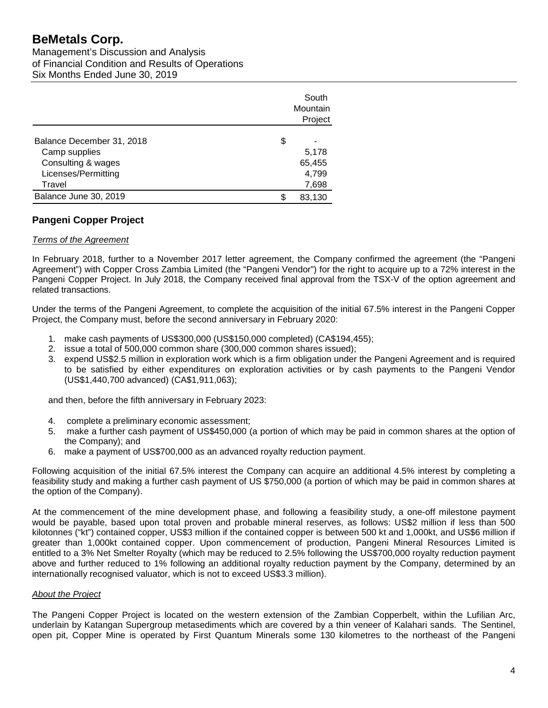# **BeMetals Corp.**

Management's Discussion and Analysis of Financial Condition and Results of Operations Six Months Ended June 30, 2019

|                           |    | South<br>Mountain |
|---------------------------|----|-------------------|
|                           |    | Project           |
| Balance December 31, 2018 | \$ |                   |
| Camp supplies             |    | 5,178             |
| Consulting & wages        |    | 65,455            |
| Licenses/Permitting       |    | 4,799             |
| Travel                    |    | 7,698             |
| Balance June 30, 2019     | S  | 83,130            |

# **Pangeni Copper Project**

## *Terms of the Agreement*

In February 2018, further to a November 2017 letter agreement, the Company confirmed the agreement (the "Pangeni Agreement") with Copper Cross Zambia Limited (the "Pangeni Vendor") for the right to acquire up to a 72% interest in the Pangeni Copper Project. In July 2018, the Company received final approval from the TSX-V of the option agreement and related transactions.

Under the terms of the Pangeni Agreement, to complete the acquisition of the initial 67.5% interest in the Pangeni Copper Project, the Company must, before the second anniversary in February 2020:

- 1. make cash payments of US\$300,000 (US\$150,000 completed) (CA\$194,455);
- 2. issue a total of 500,000 common share (300,000 common shares issued);
- 3. expend US\$2.5 million in exploration work which is a firm obligation under the Pangeni Agreement and is required to be satisfied by either expenditures on exploration activities or by cash payments to the Pangeni Vendor (US\$1,440,700 advanced) (CA\$1,911,063);

and then, before the fifth anniversary in February 2023:

- 4. complete a preliminary economic assessment;
- 5. make a further cash payment of US\$450,000 (a portion of which may be paid in common shares at the option of the Company); and
- 6. make a payment of US\$700,000 as an advanced royalty reduction payment.

Following acquisition of the initial 67.5% interest the Company can acquire an additional 4.5% interest by completing a feasibility study and making a further cash payment of US \$750,000 (a portion of which may be paid in common shares at the option of the Company).

At the commencement of the mine development phase, and following a feasibility study, a one-off milestone payment would be payable, based upon total proven and probable mineral reserves, as follows: US\$2 million if less than 500 kilotonnes ("kt") contained copper, US\$3 million if the contained copper is between 500 kt and 1,000kt, and US\$6 million if greater than 1,000kt contained copper. Upon commencement of production, Pangeni Mineral Resources Limited is entitled to a 3% Net Smelter Royalty (which may be reduced to 2.5% following the US\$700,000 royalty reduction payment above and further reduced to 1% following an additional royalty reduction payment by the Company, determined by an internationally recognised valuator, which is not to exceed US\$3.3 million).

## *About the Project*

The Pangeni Copper Project is located on the western extension of the Zambian Copperbelt, within the Lufilian Arc, underlain by Katangan Supergroup metasediments which are covered by a thin veneer of Kalahari sands. The Sentinel, open pit, Copper Mine is operated by First Quantum Minerals some 130 kilometres to the northeast of the Pangeni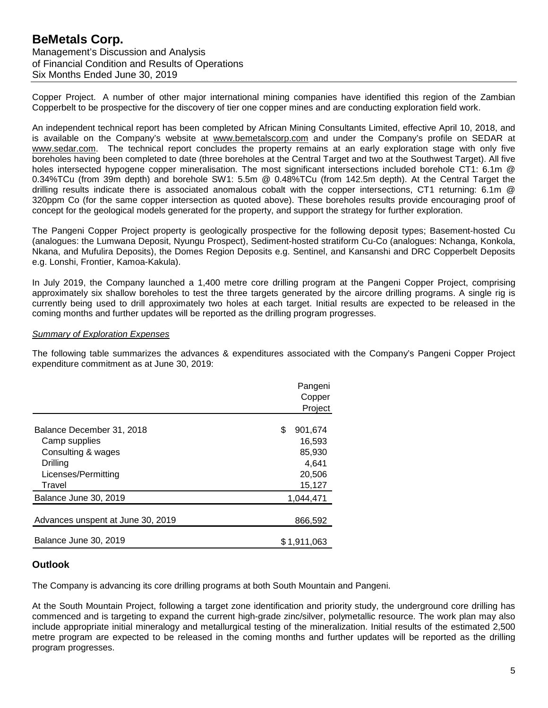# **BeMetals Corp.** Management's Discussion and Analysis of Financial Condition and Results of Operations Six Months Ended June 30, 2019

Copper Project. A number of other major international mining companies have identified this region of the Zambian Copperbelt to be prospective for the discovery of tier one copper mines and are conducting exploration field work.

An independent technical report has been completed by African Mining Consultants Limited, effective April 10, 2018, and is available on the Company's website at [www.bemetalscorp.com](http://www.bemetalscorp.com/) and under the Company's profile on SEDAR at [www.sedar.com.](http://www.sedar.com/) The technical report concludes the property remains at an early exploration stage with only five boreholes having been completed to date (three boreholes at the Central Target and two at the Southwest Target). All five holes intersected hypogene copper mineralisation. The most significant intersections included borehole CT1: 6.1m @ 0.34%TCu (from 39m depth) and borehole SW1: 5.5m @ 0.48%TCu (from 142.5m depth). At the Central Target the drilling results indicate there is associated anomalous cobalt with the copper intersections, CT1 returning: 6.1m @ 320ppm Co (for the same copper intersection as quoted above). These boreholes results provide encouraging proof of concept for the geological models generated for the property, and support the strategy for further exploration.

The Pangeni Copper Project property is geologically prospective for the following deposit types; Basement-hosted Cu (analogues: the Lumwana Deposit, Nyungu Prospect), Sediment-hosted stratiform Cu-Co (analogues: Nchanga, Konkola, Nkana, and Mufulira Deposits), the Domes Region Deposits e.g. Sentinel, and Kansanshi and DRC Copperbelt Deposits e.g. Lonshi, Frontier, Kamoa-Kakula).

In July 2019, the Company launched a 1,400 metre core drilling program at the Pangeni Copper Project, comprising approximately six shallow boreholes to test the three targets generated by the aircore drilling programs. A single rig is currently being used to drill approximately two holes at each target. Initial results are expected to be released in the coming months and further updates will be reported as the drilling program progresses.

### *Summary of Exploration Expenses*

The following table summarizes the advances & expenditures associated with the Company's Pangeni Copper Project expenditure commitment as at June 30, 2019:

|                                   | Pangeni<br>Copper<br>Project |
|-----------------------------------|------------------------------|
| Balance December 31, 2018         | S<br>901,674                 |
| Camp supplies                     | 16,593                       |
| Consulting & wages                | 85,930                       |
| Drilling                          | 4.641                        |
| Licenses/Permitting               | 20,506                       |
| Travel                            | 15,127                       |
| Balance June 30, 2019             | 1,044,471                    |
|                                   |                              |
| Advances unspent at June 30, 2019 | 866,592                      |
| Balance June 30, 2019             | \$1,911,063                  |

## **Outlook**

The Company is advancing its core drilling programs at both South Mountain and Pangeni.

At the South Mountain Project, following a target zone identification and priority study, the underground core drilling has commenced and is targeting to expand the current high-grade zinc/silver, polymetallic resource. The work plan may also include appropriate initial mineralogy and metallurgical testing of the mineralization. Initial results of the estimated 2,500 metre program are expected to be released in the coming months and further updates will be reported as the drilling program progresses.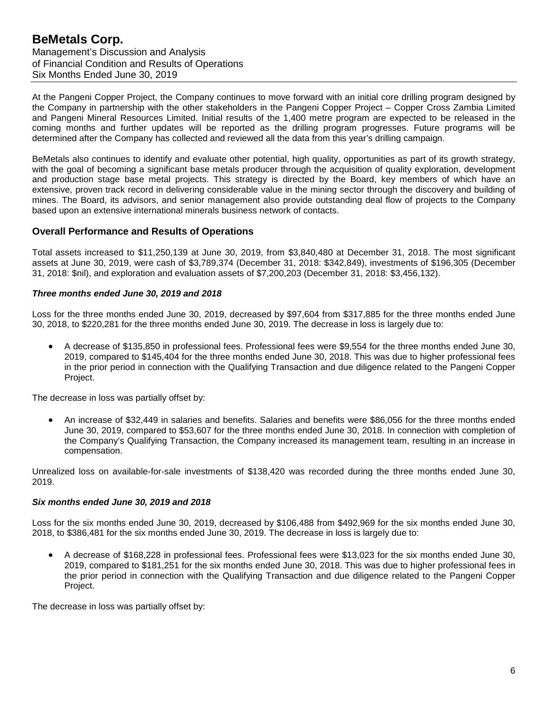At the Pangeni Copper Project, the Company continues to move forward with an initial core drilling program designed by the Company in partnership with the other stakeholders in the Pangeni Copper Project – Copper Cross Zambia Limited and Pangeni Mineral Resources Limited. Initial results of the 1,400 metre program are expected to be released in the coming months and further updates will be reported as the drilling program progresses. Future programs will be determined after the Company has collected and reviewed all the data from this year's drilling campaign.

BeMetals also continues to identify and evaluate other potential, high quality, opportunities as part of its growth strategy, with the goal of becoming a significant base metals producer through the acquisition of quality exploration, development and production stage base metal projects. This strategy is directed by the Board, key members of which have an extensive, proven track record in delivering considerable value in the mining sector through the discovery and building of mines. The Board, its advisors, and senior management also provide outstanding deal flow of projects to the Company based upon an extensive international minerals business network of contacts.

# **Overall Performance and Results of Operations**

Total assets increased to \$11,250,139 at June 30, 2019, from \$3,840,480 at December 31, 2018. The most significant assets at June 30, 2019, were cash of \$3,789,374 (December 31, 2018: \$342,849), investments of \$196,305 (December 31, 2018: \$nil), and exploration and evaluation assets of \$7,200,203 (December 31, 2018: \$3,456,132).

### *Three months ended June 30, 2019 and 2018*

Loss for the three months ended June 30, 2019, decreased by \$97,604 from \$317,885 for the three months ended June 30, 2018, to \$220,281 for the three months ended June 30, 2019. The decrease in loss is largely due to:

• A decrease of \$135,850 in professional fees. Professional fees were \$9,554 for the three months ended June 30, 2019, compared to \$145,404 for the three months ended June 30, 2018. This was due to higher professional fees in the prior period in connection with the Qualifying Transaction and due diligence related to the Pangeni Copper Project.

The decrease in loss was partially offset by:

• An increase of \$32,449 in salaries and benefits. Salaries and benefits were \$86,056 for the three months ended June 30, 2019, compared to \$53,607 for the three months ended June 30, 2018. In connection with completion of the Company's Qualifying Transaction, the Company increased its management team, resulting in an increase in compensation.

Unrealized loss on available-for-sale investments of \$138,420 was recorded during the three months ended June 30, 2019.

#### *Six months ended June 30, 2019 and 2018*

Loss for the six months ended June 30, 2019, decreased by \$106,488 from \$492,969 for the six months ended June 30, 2018, to \$386,481 for the six months ended June 30, 2019. The decrease in loss is largely due to:

• A decrease of \$168,228 in professional fees. Professional fees were \$13,023 for the six months ended June 30, 2019, compared to \$181,251 for the six months ended June 30, 2018. This was due to higher professional fees in the prior period in connection with the Qualifying Transaction and due diligence related to the Pangeni Copper Project.

The decrease in loss was partially offset by: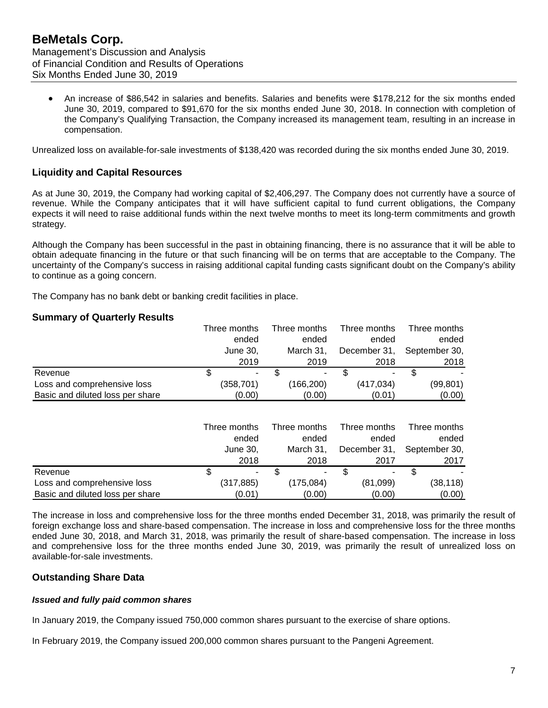• An increase of \$86,542 in salaries and benefits. Salaries and benefits were \$178,212 for the six months ended June 30, 2019, compared to \$91,670 for the six months ended June 30, 2018. In connection with completion of the Company's Qualifying Transaction, the Company increased its management team, resulting in an increase in compensation.

Unrealized loss on available-for-sale investments of \$138,420 was recorded during the six months ended June 30, 2019.

# **Liquidity and Capital Resources**

As at June 30, 2019, the Company had working capital of \$2,406,297. The Company does not currently have a source of revenue. While the Company anticipates that it will have sufficient capital to fund current obligations, the Company expects it will need to raise additional funds within the next twelve months to meet its long-term commitments and growth strategy.

Although the Company has been successful in the past in obtaining financing, there is no assurance that it will be able to obtain adequate financing in the future or that such financing will be on terms that are acceptable to the Company. The uncertainty of the Company's success in raising additional capital funding casts significant doubt on the Company's ability to continue as a going concern.

The Company has no bank debt or banking credit facilities in place.

# **Summary of Quarterly Results**

|                                  | Three months | Three months   | Three months | Three months  |
|----------------------------------|--------------|----------------|--------------|---------------|
|                                  | ended        | ended          | ended        | ended         |
|                                  | June 30,     | March 31.      | December 31, | September 30, |
|                                  | 2019         | 2019           | 2018         | 2018          |
| Revenue                          | S<br>$\sim$  | $\blacksquare$ | ۰.           |               |
| Loss and comprehensive loss      | (358, 701)   | (166,200)      | (417, 034)   | (99, 801)     |
| Basic and diluted loss per share | (0.00)       | (0.00)         | (0.01)       | (0.00)        |

|                                  | Three months |        | Three months | Three months | Three months  |
|----------------------------------|--------------|--------|--------------|--------------|---------------|
|                                  | ended        |        | ended        | ended        | ended         |
|                                  | June 30,     |        | March 31.    | December 31, | September 30, |
|                                  |              | 2018   | 2018         | 2017         | 2017          |
| Revenue                          |              | $\sim$ | ۰            | ۰.           |               |
| Loss and comprehensive loss      | (317, 885)   |        | (175,084)    | (81,099)     | (38, 118)     |
| Basic and diluted loss per share | (0.01)       |        | (0.00)       | (0.00)       | (0.00)        |

The increase in loss and comprehensive loss for the three months ended December 31, 2018, was primarily the result of foreign exchange loss and share-based compensation. The increase in loss and comprehensive loss for the three months ended June 30, 2018, and March 31, 2018, was primarily the result of share-based compensation. The increase in loss and comprehensive loss for the three months ended June 30, 2019, was primarily the result of unrealized loss on available-for-sale investments.

# **Outstanding Share Data**

## *Issued and fully paid common shares*

In January 2019, the Company issued 750,000 common shares pursuant to the exercise of share options.

In February 2019, the Company issued 200,000 common shares pursuant to the Pangeni Agreement.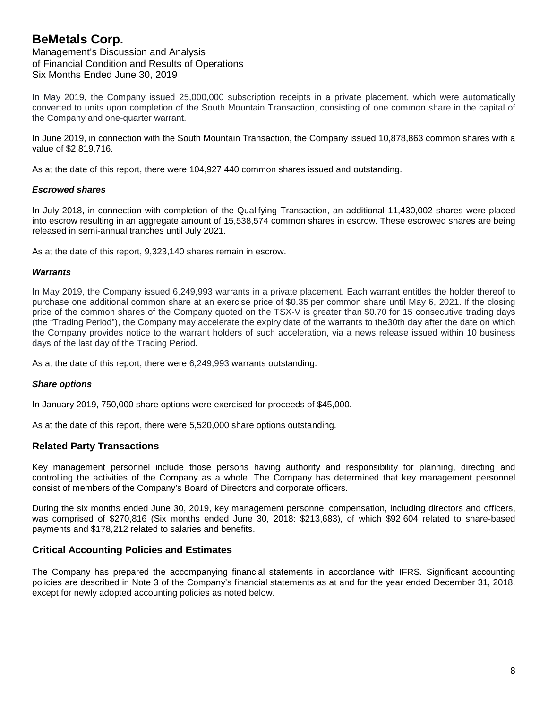# **BeMetals Corp.** Management's Discussion and Analysis of Financial Condition and Results of Operations Six Months Ended June 30, 2019

In May 2019, the Company issued 25,000,000 subscription receipts in a private placement, which were automatically converted to units upon completion of the South Mountain Transaction, consisting of one common share in the capital of the Company and one-quarter warrant.

In June 2019, in connection with the South Mountain Transaction, the Company issued 10,878,863 common shares with a value of \$2,819,716.

As at the date of this report, there were 104,927,440 common shares issued and outstanding.

### *Escrowed shares*

In July 2018, in connection with completion of the Qualifying Transaction, an additional 11,430,002 shares were placed into escrow resulting in an aggregate amount of 15,538,574 common shares in escrow. These escrowed shares are being released in semi-annual tranches until July 2021.

As at the date of this report, 9,323,140 shares remain in escrow.

#### *Warrants*

In May 2019, the Company issued 6,249,993 warrants in a private placement. Each warrant entitles the holder thereof to purchase one additional common share at an exercise price of \$0.35 per common share until May 6, 2021. If the closing price of the common shares of the Company quoted on the TSX-V is greater than \$0.70 for 15 consecutive trading days (the "Trading Period"), the Company may accelerate the expiry date of the warrants to the30th day after the date on which the Company provides notice to the warrant holders of such acceleration, via a news release issued within 10 business days of the last day of the Trading Period.

As at the date of this report, there were 6,249,993 warrants outstanding.

#### *Share options*

In January 2019, 750,000 share options were exercised for proceeds of \$45,000.

As at the date of this report, there were 5,520,000 share options outstanding.

## **Related Party Transactions**

Key management personnel include those persons having authority and responsibility for planning, directing and controlling the activities of the Company as a whole. The Company has determined that key management personnel consist of members of the Company's Board of Directors and corporate officers.

During the six months ended June 30, 2019, key management personnel compensation, including directors and officers, was comprised of \$270,816 (Six months ended June 30, 2018: \$213,683), of which \$92,604 related to share-based payments and \$178,212 related to salaries and benefits.

#### **Critical Accounting Policies and Estimates**

The Company has prepared the accompanying financial statements in accordance with IFRS. Significant accounting policies are described in Note 3 of the Company's financial statements as at and for the year ended December 31, 2018, except for newly adopted accounting policies as noted below.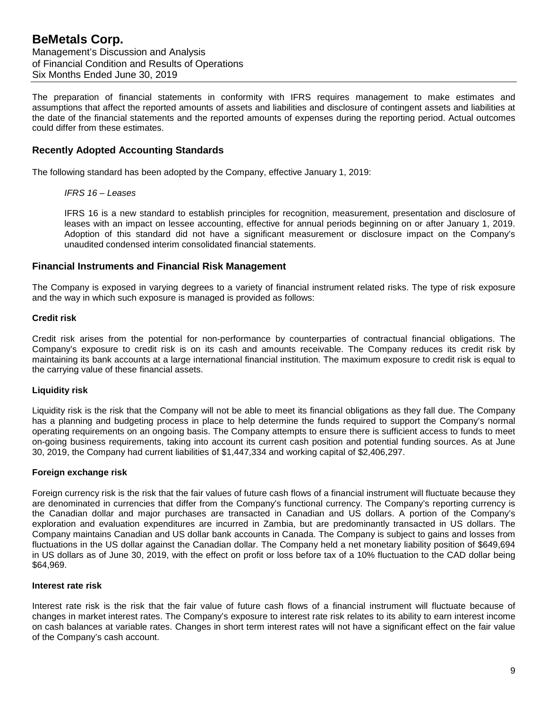The preparation of financial statements in conformity with IFRS requires management to make estimates and assumptions that affect the reported amounts of assets and liabilities and disclosure of contingent assets and liabilities at the date of the financial statements and the reported amounts of expenses during the reporting period. Actual outcomes could differ from these estimates.

# **Recently Adopted Accounting Standards**

The following standard has been adopted by the Company, effective January 1, 2019:

*IFRS 16 – Leases*

IFRS 16 is a new standard to establish principles for recognition, measurement, presentation and disclosure of leases with an impact on lessee accounting, effective for annual periods beginning on or after January 1, 2019. Adoption of this standard did not have a significant measurement or disclosure impact on the Company's unaudited condensed interim consolidated financial statements.

### **Financial Instruments and Financial Risk Management**

The Company is exposed in varying degrees to a variety of financial instrument related risks. The type of risk exposure and the way in which such exposure is managed is provided as follows:

#### **Credit risk**

Credit risk arises from the potential for non-performance by counterparties of contractual financial obligations. The Company's exposure to credit risk is on its cash and amounts receivable. The Company reduces its credit risk by maintaining its bank accounts at a large international financial institution. The maximum exposure to credit risk is equal to the carrying value of these financial assets.

#### **Liquidity risk**

Liquidity risk is the risk that the Company will not be able to meet its financial obligations as they fall due. The Company has a planning and budgeting process in place to help determine the funds required to support the Company's normal operating requirements on an ongoing basis. The Company attempts to ensure there is sufficient access to funds to meet on-going business requirements, taking into account its current cash position and potential funding sources. As at June 30, 2019, the Company had current liabilities of \$1,447,334 and working capital of \$2,406,297.

#### **Foreign exchange risk**

Foreign currency risk is the risk that the fair values of future cash flows of a financial instrument will fluctuate because they are denominated in currencies that differ from the Company's functional currency. The Company's reporting currency is the Canadian dollar and major purchases are transacted in Canadian and US dollars. A portion of the Company's exploration and evaluation expenditures are incurred in Zambia, but are predominantly transacted in US dollars. The Company maintains Canadian and US dollar bank accounts in Canada. The Company is subject to gains and losses from fluctuations in the US dollar against the Canadian dollar. The Company held a net monetary liability position of \$649,694 in US dollars as of June 30, 2019, with the effect on profit or loss before tax of a 10% fluctuation to the CAD dollar being \$64,969.

#### **Interest rate risk**

Interest rate risk is the risk that the fair value of future cash flows of a financial instrument will fluctuate because of changes in market interest rates. The Company's exposure to interest rate risk relates to its ability to earn interest income on cash balances at variable rates. Changes in short term interest rates will not have a significant effect on the fair value of the Company's cash account.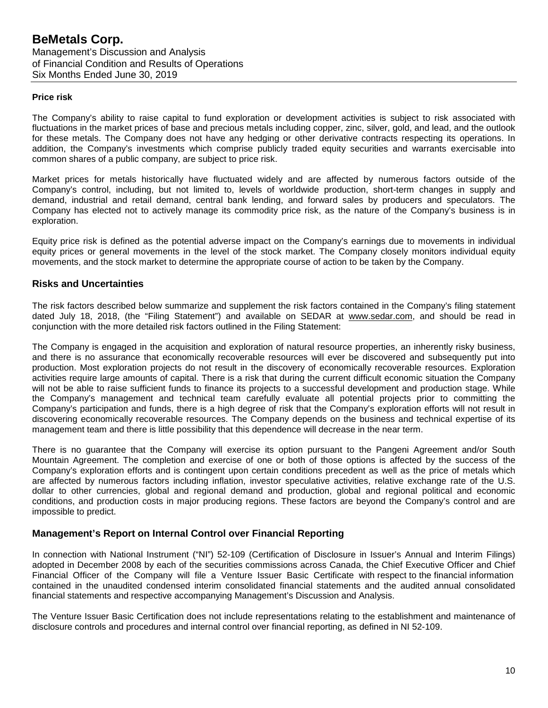#### **Price risk**

The Company's ability to raise capital to fund exploration or development activities is subject to risk associated with fluctuations in the market prices of base and precious metals including copper, zinc, silver, gold, and lead, and the outlook for these metals. The Company does not have any hedging or other derivative contracts respecting its operations. In addition, the Company's investments which comprise publicly traded equity securities and warrants exercisable into common shares of a public company, are subject to price risk.

Market prices for metals historically have fluctuated widely and are affected by numerous factors outside of the Company's control, including, but not limited to, levels of worldwide production, short-term changes in supply and demand, industrial and retail demand, central bank lending, and forward sales by producers and speculators. The Company has elected not to actively manage its commodity price risk, as the nature of the Company's business is in exploration.

Equity price risk is defined as the potential adverse impact on the Company's earnings due to movements in individual equity prices or general movements in the level of the stock market. The Company closely monitors individual equity movements, and the stock market to determine the appropriate course of action to be taken by the Company.

# **Risks and Uncertainties**

The risk factors described below summarize and supplement the risk factors contained in the Company's filing statement dated July 18, 2018, (the "Filing Statement") and available on SEDAR at [www.sedar.com,](http://www.sedar.com/) and should be read in conjunction with the more detailed risk factors outlined in the Filing Statement:

The Company is engaged in the acquisition and exploration of natural resource properties, an inherently risky business, and there is no assurance that economically recoverable resources will ever be discovered and subsequently put into production. Most exploration projects do not result in the discovery of economically recoverable resources. Exploration activities require large amounts of capital. There is a risk that during the current difficult economic situation the Company will not be able to raise sufficient funds to finance its projects to a successful development and production stage. While the Company's management and technical team carefully evaluate all potential projects prior to committing the Company's participation and funds, there is a high degree of risk that the Company's exploration efforts will not result in discovering economically recoverable resources. The Company depends on the business and technical expertise of its management team and there is little possibility that this dependence will decrease in the near term.

There is no guarantee that the Company will exercise its option pursuant to the Pangeni Agreement and/or South Mountain Agreement. The completion and exercise of one or both of those options is affected by the success of the Company's exploration efforts and is contingent upon certain conditions precedent as well as the price of metals which are affected by numerous factors including inflation, investor speculative activities, relative exchange rate of the U.S. dollar to other currencies, global and regional demand and production, global and regional political and economic conditions, and production costs in major producing regions. These factors are beyond the Company's control and are impossible to predict.

## **Management's Report on Internal Control over Financial Reporting**

In connection with National Instrument ("NI") 52-109 (Certification of Disclosure in Issuer's Annual and Interim Filings) adopted in December 2008 by each of the securities commissions across Canada, the Chief Executive Officer and Chief Financial Officer of the Company will file a Venture Issuer Basic Certificate with respect to the financial information contained in the unaudited condensed interim consolidated financial statements and the audited annual consolidated financial statements and respective accompanying Management's Discussion and Analysis.

The Venture Issuer Basic Certification does not include representations relating to the establishment and maintenance of disclosure controls and procedures and internal control over financial reporting, as defined in NI 52-109.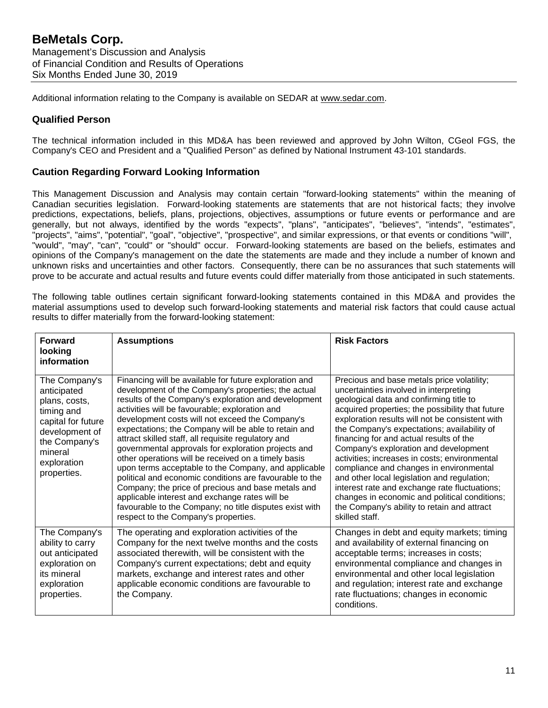Additional information relating to the Company is available on SEDAR at [www.sedar.com.](http://www.sedar.com/)

## **Qualified Person**

The technical information included in this MD&A has been reviewed and approved by John Wilton, CGeol FGS, the Company's CEO and President and a "Qualified Person" as defined by National Instrument 43-101 standards.

# **Caution Regarding Forward Looking Information**

This Management Discussion and Analysis may contain certain "forward-looking statements" within the meaning of Canadian securities legislation. Forward-looking statements are statements that are not historical facts; they involve predictions, expectations, beliefs, plans, projections, objectives, assumptions or future events or performance and are generally, but not always, identified by the words "expects", "plans", "anticipates", "believes", "intends", "estimates", "projects", "aims", "potential", "goal", "objective", "prospective", and similar expressions, or that events or conditions "will", "would", "may", "can", "could" or "should" occur. Forward-looking statements are based on the beliefs, estimates and opinions of the Company's management on the date the statements are made and they include a number of known and unknown risks and uncertainties and other factors. Consequently, there can be no assurances that such statements will prove to be accurate and actual results and future events could differ materially from those anticipated in such statements.

The following table outlines certain significant forward-looking statements contained in this MD&A and provides the material assumptions used to develop such forward-looking statements and material risk factors that could cause actual results to differ materially from the forward-looking statement:

| <b>Forward</b><br>looking<br>information                                                                                                                      | <b>Assumptions</b>                                                                                                                                                                                                                                                                                                                                                                                                                                                                                                                                                                                                                                                                                                                                                                                                                    | <b>Risk Factors</b>                                                                                                                                                                                                                                                                                                                                                                                                                                                                                                                                                                                                                                                                     |
|---------------------------------------------------------------------------------------------------------------------------------------------------------------|---------------------------------------------------------------------------------------------------------------------------------------------------------------------------------------------------------------------------------------------------------------------------------------------------------------------------------------------------------------------------------------------------------------------------------------------------------------------------------------------------------------------------------------------------------------------------------------------------------------------------------------------------------------------------------------------------------------------------------------------------------------------------------------------------------------------------------------|-----------------------------------------------------------------------------------------------------------------------------------------------------------------------------------------------------------------------------------------------------------------------------------------------------------------------------------------------------------------------------------------------------------------------------------------------------------------------------------------------------------------------------------------------------------------------------------------------------------------------------------------------------------------------------------------|
| The Company's<br>anticipated<br>plans, costs,<br>timing and<br>capital for future<br>development of<br>the Company's<br>mineral<br>exploration<br>properties. | Financing will be available for future exploration and<br>development of the Company's properties; the actual<br>results of the Company's exploration and development<br>activities will be favourable; exploration and<br>development costs will not exceed the Company's<br>expectations; the Company will be able to retain and<br>attract skilled staff, all requisite regulatory and<br>governmental approvals for exploration projects and<br>other operations will be received on a timely basis<br>upon terms acceptable to the Company, and applicable<br>political and economic conditions are favourable to the<br>Company; the price of precious and base metals and<br>applicable interest and exchange rates will be<br>favourable to the Company; no title disputes exist with<br>respect to the Company's properties. | Precious and base metals price volatility;<br>uncertainties involved in interpreting<br>geological data and confirming title to<br>acquired properties; the possibility that future<br>exploration results will not be consistent with<br>the Company's expectations; availability of<br>financing for and actual results of the<br>Company's exploration and development<br>activities; increases in costs; environmental<br>compliance and changes in environmental<br>and other local legislation and regulation;<br>interest rate and exchange rate fluctuations;<br>changes in economic and political conditions;<br>the Company's ability to retain and attract<br>skilled staff. |
| The Company's<br>ability to carry<br>out anticipated<br>exploration on<br>its mineral<br>exploration<br>properties.                                           | The operating and exploration activities of the<br>Company for the next twelve months and the costs<br>associated therewith, will be consistent with the<br>Company's current expectations; debt and equity<br>markets, exchange and interest rates and other<br>applicable economic conditions are favourable to<br>the Company.                                                                                                                                                                                                                                                                                                                                                                                                                                                                                                     | Changes in debt and equity markets; timing<br>and availability of external financing on<br>acceptable terms; increases in costs;<br>environmental compliance and changes in<br>environmental and other local legislation<br>and regulation; interest rate and exchange<br>rate fluctuations; changes in economic<br>conditions.                                                                                                                                                                                                                                                                                                                                                         |